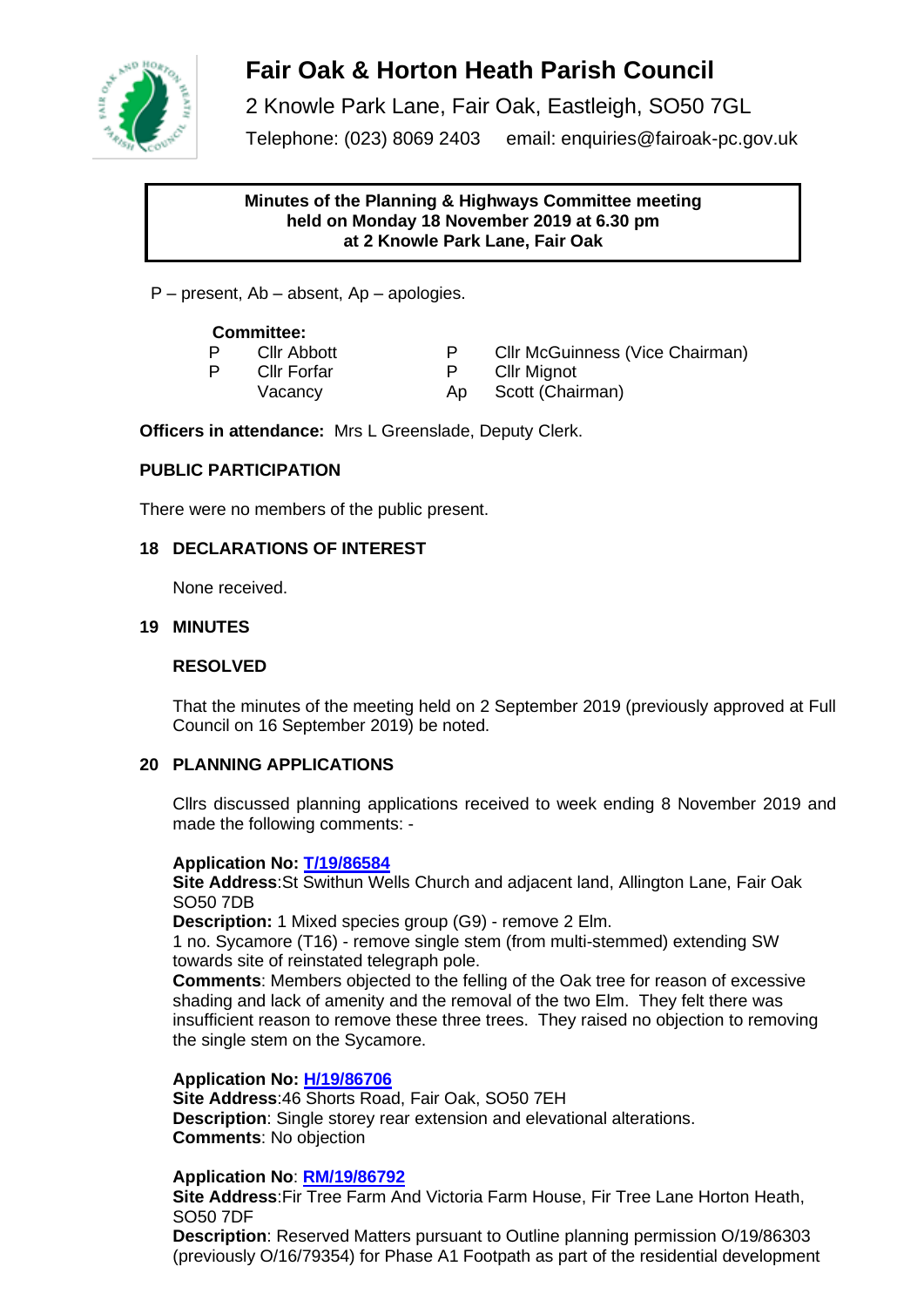

# **Fair Oak & Horton Heath Parish Council**

2 Knowle Park Lane, Fair Oak, Eastleigh, SO50 7GL

Telephone: (023) 8069 2403 email: enquiries@fairoak-pc.gov.uk

#### **Minutes of the Planning & Highways Committee meeting held on Monday 18 November 2019 at 6.30 pm at 2 Knowle Park Lane, Fair Oak**

P – present, Ab – absent, Ap – apologies.

## **Committee:**

| P | Cllr Abbott | Cllr McGuinness (Vice Chairman) |
|---|-------------|---------------------------------|
| P | Cllr Forfar | Cllr Mignot                     |
|   | Vacancy     | Ap Scott (Chairman)             |

**Officers in attendance:** Mrs L Greenslade, Deputy Clerk.

## **PUBLIC PARTICIPATION**

There were no members of the public present.

## **18 DECLARATIONS OF INTEREST**

None received.

## **19 MINUTES**

## **RESOLVED**

That the minutes of the meeting held on 2 September 2019 (previously approved at Full Council on 16 September 2019) be noted.

## **20 PLANNING APPLICATIONS**

Cllrs discussed planning applications received to week ending 8 November 2019 and made the following comments: -

## **Application No: [T/19/86584](https://planning.eastleigh.gov.uk/s/papplication/a1M4J000000d1yz)**

**Site Address**:St Swithun Wells Church and adjacent land, Allington Lane, Fair Oak SO50 7DB

**Description:** 1 Mixed species group (G9) - remove 2 Elm.

1 no. Sycamore (T16) - remove single stem (from multi-stemmed) extending SW towards site of reinstated telegraph pole.

**Comments**: Members objected to the felling of the Oak tree for reason of excessive shading and lack of amenity and the removal of the two Elm. They felt there was insufficient reason to remove these three trees. They raised no objection to removing the single stem on the Sycamore.

## **Application No: [H/19/86706](https://planning.eastleigh.gov.uk/s/papplication/a1M4J000000d3qD)**

**Site Address**:46 Shorts Road, Fair Oak, SO50 7EH **Description**: Single storey rear extension and elevational alterations. **Comments**: No objection

## **Application No**: **[RM/19/86792](https://planning.eastleigh.gov.uk/s/papplication/a1M4J000000d6XM)**

**Site Address**:Fir Tree Farm And Victoria Farm House, Fir Tree Lane Horton Heath, SO50 7DF

**Description**: Reserved Matters pursuant to Outline planning permission O/19/86303 (previously O/16/79354) for Phase A1 Footpath as part of the residential development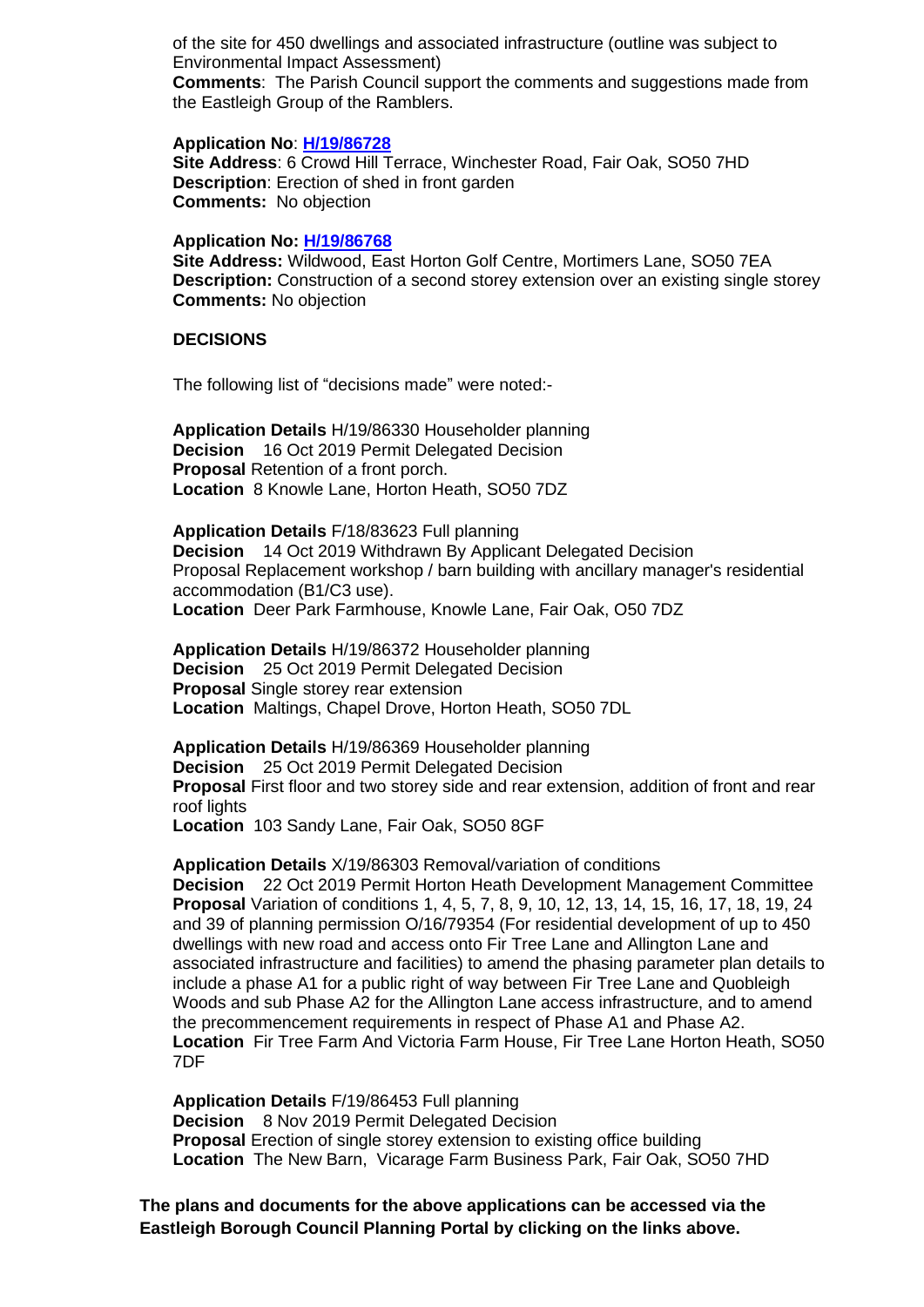of the site for 450 dwellings and associated infrastructure (outline was subject to Environmental Impact Assessment)

**Comments**: The Parish Council support the comments and suggestions made from the Eastleigh Group of the Ramblers.

#### **Application No**: **[H/19/86728](https://planning.eastleigh.gov.uk/s/papplication/a1M4J000000d4QX)**

**Site Address**: 6 Crowd Hill Terrace, Winchester Road, Fair Oak, SO50 7HD **Description**: Erection of shed in front garden **Comments:** No objection

#### **Application No: [H/19/86768](https://planning.eastleigh.gov.uk/s/papplication/a1M4J000000d5Go)**

**Site Address:** Wildwood, East Horton Golf Centre, Mortimers Lane, SO50 7EA **Description:** Construction of a second storey extension over an existing single storey **Comments:** No objection

#### **DECISIONS**

The following list of "decisions made" were noted:-

**Application Details** H/19/86330 Householder planning **Decision** 16 Oct 2019 Permit Delegated Decision **Proposal** Retention of a front porch. **Location** 8 Knowle Lane, Horton Heath, SO50 7DZ

**Application Details** F/18/83623 Full planning **Decision** 14 Oct 2019 Withdrawn By Applicant Delegated Decision Proposal Replacement workshop / barn building with ancillary manager's residential accommodation (B1/C3 use). **Location** Deer Park Farmhouse, Knowle Lane, Fair Oak, O50 7DZ

**Application Details** H/19/86372 Householder planning **Decision** 25 Oct 2019 Permit Delegated Decision **Proposal** Single storey rear extension **Location** Maltings, Chapel Drove, Horton Heath, SO50 7DL

**Application Details** H/19/86369 Householder planning **Decision** 25 Oct 2019 Permit Delegated Decision **Proposal** First floor and two storey side and rear extension, addition of front and rear roof lights

**Location** 103 Sandy Lane, Fair Oak, SO50 8GF

**Application Details** X/19/86303 Removal/variation of conditions **Decision** 22 Oct 2019 Permit Horton Heath Development Management Committee **Proposal** Variation of conditions 1, 4, 5, 7, 8, 9, 10, 12, 13, 14, 15, 16, 17, 18, 19, 24 and 39 of planning permission O/16/79354 (For residential development of up to 450 dwellings with new road and access onto Fir Tree Lane and Allington Lane and associated infrastructure and facilities) to amend the phasing parameter plan details to include a phase A1 for a public right of way between Fir Tree Lane and Quobleigh Woods and sub Phase A2 for the Allington Lane access infrastructure, and to amend the precommencement requirements in respect of Phase A1 and Phase A2. **Location** Fir Tree Farm And Victoria Farm House, Fir Tree Lane Horton Heath, SO50 7DF

**Application Details** F/19/86453 Full planning **Decision** 8 Nov 2019 Permit Delegated Decision **Proposal** Erection of single storey extension to existing office building  **Location** The New Barn, Vicarage Farm Business Park, Fair Oak, SO50 7HD

**The plans and documents for the above applications can be accessed via the Eastleigh Borough Council Planning Portal by clicking on the links above.**